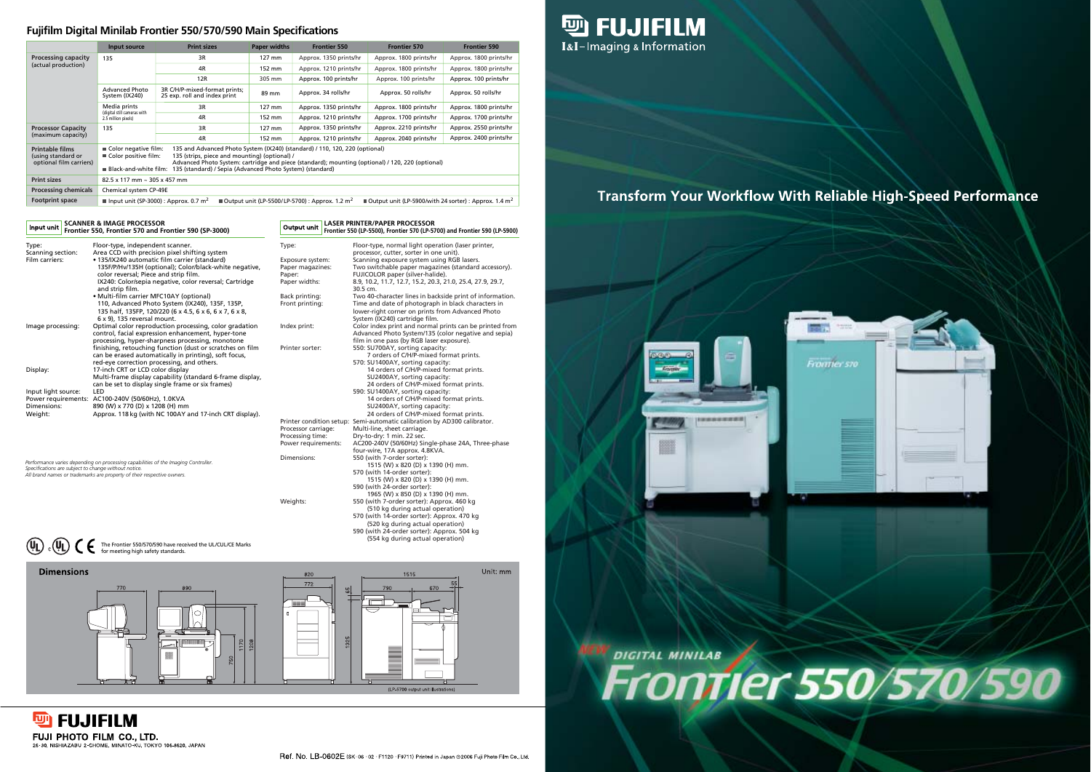### **Fujifilm Digital Minilab Frontier 550/570/590 Main Specifications**









# **Transform Your Workflow With Reliable High-Speed Performance**



# W DIGITAL MINILAS





#### **SCANNER & IMAGE PROCESSOR** Input unit

| Type:                                                | Floor-type, independent scanner.                                                   | Type:                    | Floor-type, normal light operation (laser printer,         |
|------------------------------------------------------|------------------------------------------------------------------------------------|--------------------------|------------------------------------------------------------|
| Scanning section:                                    | Area CCD with precision pixel shifting system                                      |                          | processor, cutter, sorter in one unit).                    |
| Film carriers:                                       | • 135/IX240 automatic film carrier (standard)                                      | Exposure system:         | Scanning exposure system using RGB lasers.                 |
|                                                      | 135F/P/Hv/135H (optional); Color/black-white negative,                             | Paper magazines:         | Two switchable paper magazines (standard accessory).       |
|                                                      | color reversal; Piece and strip film.                                              | Paper:                   | FUJICOLOR paper (silver-halide).                           |
|                                                      | IX240: Color/sepia negative, color reversal; Cartridge                             | Paper widths:            | 8.9, 10.2, 11.7, 12.7, 15.2, 20.3, 21.0, 25.4, 27.9, 29.7, |
|                                                      | and strip film.                                                                    |                          | 30.5 cm.                                                   |
|                                                      | • Multi-film carrier MFC10AY (optional)                                            | Back printing:           | Two 40-character lines in backside print of information.   |
|                                                      | 110, Advanced Photo System (IX240), 135F, 135P,                                    | Front printing:          | Time and date of photograph in black characters in         |
|                                                      | 135 half, 135FP, 120/220 (6 x 4.5, 6 x 6, 6 x 7, 6 x 8,                            |                          | lower-right corner on prints from Advanced Photo           |
|                                                      | $6 \times 9$ ), 135 reversal mount.                                                |                          | System (IX240) cartridge film.                             |
| Image processing:                                    | Optimal color reproduction processing, color gradation                             | Index print:             | Color index print and normal prints can be printed from    |
|                                                      | control, facial expression enhancement, hyper-tone                                 |                          | Advanced Photo System/135 (color negative and sepia)       |
|                                                      | processing, hyper-sharpness processing, monotone                                   |                          | film in one pass (by RGB laser exposure).                  |
|                                                      | finishing, retouching function (dust or scratches on film                          | Printer sorter:          | 550: SU700AY, sorting capacity:                            |
|                                                      | can be erased automatically in printing), soft focus,                              |                          | 7 orders of C/H/P-mixed format prints.                     |
|                                                      | red-eye correction processing, and others.                                         |                          | 570: SU1400AY, sorting capacity:                           |
| Display:                                             | 17-inch CRT or LCD color display                                                   |                          | 14 orders of C/H/P-mixed format prints.                    |
|                                                      | Multi-frame display capability (standard 6-frame display,                          |                          | SU2400AY, sorting capacity:                                |
|                                                      | can be set to display single frame or six frames)                                  |                          | 24 orders of C/H/P-mixed format prints.                    |
| Input light source:                                  | LED                                                                                |                          | 590: SU1400AY, sorting capacity:                           |
|                                                      | Power requirements: AC100-240V (50/60Hz), 1.0KVA                                   |                          | 14 orders of C/H/P-mixed format prints.                    |
| Dimensions:                                          | 890 (W) x 770 (D) x 1208 (H) mm                                                    |                          | SU2400AY, sorting capacity:                                |
| Weight:                                              | Approx. 118 kg (with NC 100AY and 17-inch CRT display).                            |                          | 24 orders of C/H/P-mixed format prints.                    |
|                                                      |                                                                                    | Printer condition setup: | Semi-automatic calibration by AD300 calibrator.            |
|                                                      |                                                                                    | Processor carriage:      | Multi-line, sheet carriage.                                |
|                                                      |                                                                                    | Processing time:         | Dry-to-dry: 1 min. 22 sec.                                 |
|                                                      |                                                                                    | Power requirements:      | AC200-240V (50/60Hz) Single-phase 24A, Three-phase         |
|                                                      |                                                                                    |                          | four-wire, 17A approx. 4.8KVA.                             |
|                                                      |                                                                                    | Dimensions:              | 550 (with 7-order sorter):                                 |
| Concifications are subject to change without potion. | Performance varies depending on processing capabilities of the Imaging Controller. |                          | 1515 (W) x 820 (D) x 1390 (H) mm.                          |

570 (with 14-order sorter):

1515 (W) x 820 (D) x 1390 (H) mm.

590 (with 24-order sorter):

1965 (W) x 850 (D) x 1390 (H) mm.

Weights: 550 (with 7-order sorter): Approx. 460 kg

(510 kg during actual operation) 570 (with 14-order sorter): Approx. 470 kg (520 kg during actual operation) 590 (with 24-order sorter): Approx. 504 kg (554 kg during actual operation)

|       | Output unit LASER PRINTER/PAPER PROCESSOR<br>Output unit Frontier 550 (LP-5500), Frontier 570 (LP-5700) and Frontier 590 (LP-5900) |
|-------|------------------------------------------------------------------------------------------------------------------------------------|
| Type: | Floor-type, normal light operation (laser printer,                                                                                 |

|                                                                         | Input source                                                                                                                                                                                                                                                                                                                                                             | <b>Print sizes</b>                                            | <b>Paper widths</b> | <b>Frontier 550</b>    | <b>Frontier 570</b>    | <b>Frontier 590</b>    |
|-------------------------------------------------------------------------|--------------------------------------------------------------------------------------------------------------------------------------------------------------------------------------------------------------------------------------------------------------------------------------------------------------------------------------------------------------------------|---------------------------------------------------------------|---------------------|------------------------|------------------------|------------------------|
| <b>Processing capacity</b>                                              | 135                                                                                                                                                                                                                                                                                                                                                                      | 3R                                                            | 127 mm              | Approx. 1350 prints/hr | Approx. 1800 prints/hr | Approx. 1800 prints/hr |
| (actual production)                                                     |                                                                                                                                                                                                                                                                                                                                                                          | 4R                                                            | 152 mm              | Approx. 1210 prints/hr | Approx. 1800 prints/hr | Approx. 1800 prints/hr |
|                                                                         |                                                                                                                                                                                                                                                                                                                                                                          | 12R                                                           | 305 mm              | Approx. 100 prints/hr  | Approx. 100 prints/hr  | Approx. 100 prints/hr  |
|                                                                         | <b>Advanced Photo</b><br>System (IX240)                                                                                                                                                                                                                                                                                                                                  | 3R C/H/P-mixed-format prints;<br>25 exp. roll and index print | 89 mm               | Approx. 34 rolls/hr    | Approx. 50 rolls/hr    | Approx. 50 rolls/hr    |
|                                                                         | Media prints                                                                                                                                                                                                                                                                                                                                                             | 3R                                                            | 127 mm              | Approx. 1350 prints/hr | Approx. 1800 prints/hr | Approx. 1800 prints/hr |
|                                                                         | (digital still cameras with<br>2.5 million pixels)                                                                                                                                                                                                                                                                                                                       | 4R                                                            | 152 mm              | Approx. 1210 prints/hr | Approx. 1700 prints/hr | Approx. 1700 prints/hr |
| <b>Processor Capacity</b>                                               | 135                                                                                                                                                                                                                                                                                                                                                                      | 3R                                                            | 127 mm              | Approx. 1350 prints/hr | Approx. 2210 prints/hr | Approx. 2550 prints/hr |
| (maximum capacity)                                                      |                                                                                                                                                                                                                                                                                                                                                                          | 4R                                                            | 152 mm              | Approx. 1210 prints/hr | Approx. 2040 prints/hr | Approx. 2400 prints/hr |
| <b>Printable films</b><br>(using standard or<br>optional film carriers) | 135 and Advanced Photo System (IX240) (standard) / 110, 120, 220 (optional)<br>Color negative film:<br>135 (strips, piece and mounting) (optional) /<br>Color positive film:<br>Advanced Photo System: cartridge and piece (standard); mounting (optional) / 120, 220 (optional)<br>■ Black-and-white film:<br>135 (standard) / Sepia (Advanced Photo System) (standard) |                                                               |                     |                        |                        |                        |
| <b>Print sizes</b>                                                      | 82.5 x 117 mm ~ 305 x 457 mm                                                                                                                                                                                                                                                                                                                                             |                                                               |                     |                        |                        |                        |
| <b>Processing chemicals</b>                                             | Chemical system CP-49E                                                                                                                                                                                                                                                                                                                                                   |                                                               |                     |                        |                        |                        |
| <b>Footprint space</b>                                                  | Imput unit (SP-3000) : Approx. 0.7 m <sup>2</sup><br>Output unit (LP-5500/LP-5700) : Approx. 1.2 m <sup>2</sup><br>■Output unit (LP-5900/with 24 sorter) : Approx. 1.4 m <sup>2</sup>                                                                                                                                                                                    |                                                               |                     |                        |                        |                        |

#### **Frontier 550, Frontier 570 and Frontier 590 (SP-3000)**

*Specifications are subject to change without notice.*

*All brand names or trademarks are property of their respective owners.*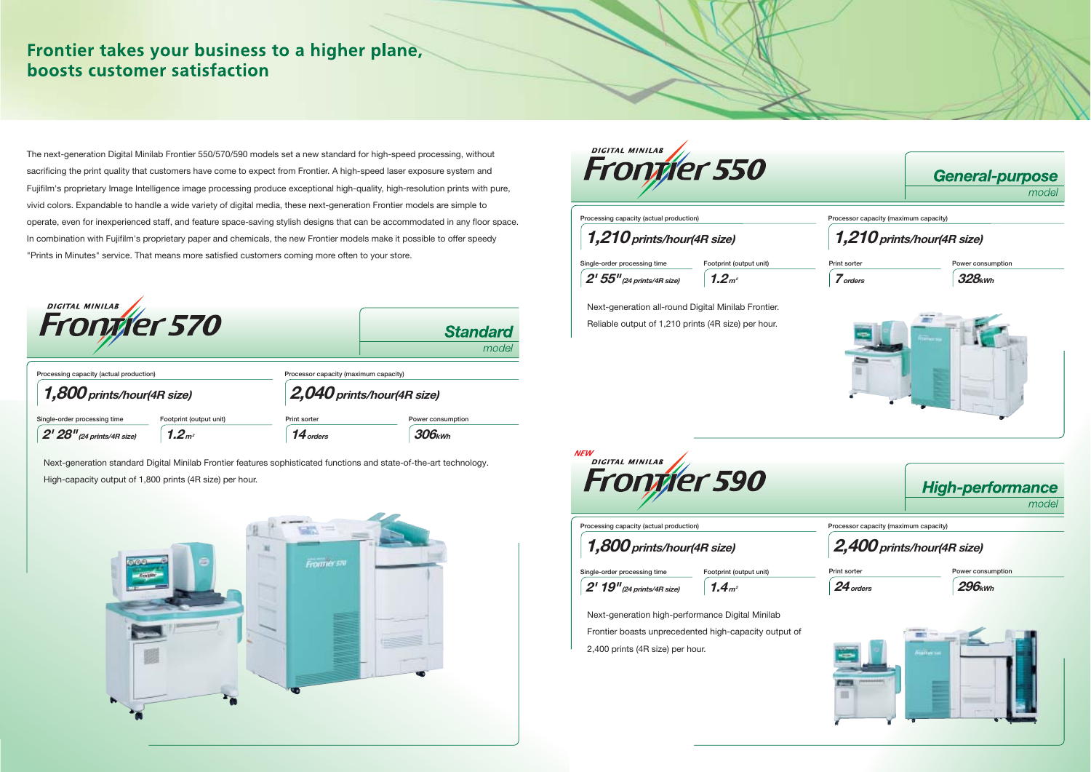Next-generation standard Digital Minilab Frontier features sophisticated functions and state-of-the-art technology. High-capacity output of 1,800 prints (4R size) per hour.





# Frontier takes your business to a higher plane, boosts customer satisfaction

The next-generation Digital Minilab Frontier 550/570/590 models set a new standard for high-speed processing, without sacrificing the print quality that customers have come to expect from Frontier. A high-speed laser exposure system and Fujifilm's proprietary Image Intelligence image processing produce exceptional high-quality, high-resolution prints with pure, vivid colors. Expandable to handle a wide variety of digital media, these next-generation Frontier models are simple to operate, even for inexperienced staff, and feature space-saving stylish designs that can be accommodated in any floor space. In combination with Fujifilm's proprietary paper and chemicals, the new Frontier models make it possible to offer speedy "Prints in Minutes" service. That means more satisfied customers coming more often to your store.



| Processing capacity (actual production) |                     |
|-----------------------------------------|---------------------|
| 1,210 prints/hour(4R size)              |                     |
| Single-order processing time            | Footprint (output u |

 $1.2<sub>m²</sub>$ 

| <b>DIGITAL MINILAB</b><br>Frontier 570                                  |                         |                                                                     | <b>Standard</b><br>model |
|-------------------------------------------------------------------------|-------------------------|---------------------------------------------------------------------|--------------------------|
| Processing capacity (actual production)<br>$1,800$ prints/hour(4R size) |                         | Processor capacity (maximum capacity)<br>2,040 prints/hour(4R size) |                          |
| Single-order processing time                                            | Footprint (output unit) | Print sorter                                                        | Power consumption        |
| $2'$ $28''$ (24 prints/4R size)                                         | 1.2 <sub>m²</sub>       | 14 orders                                                           | $306$ <sub>kWh</sub>     |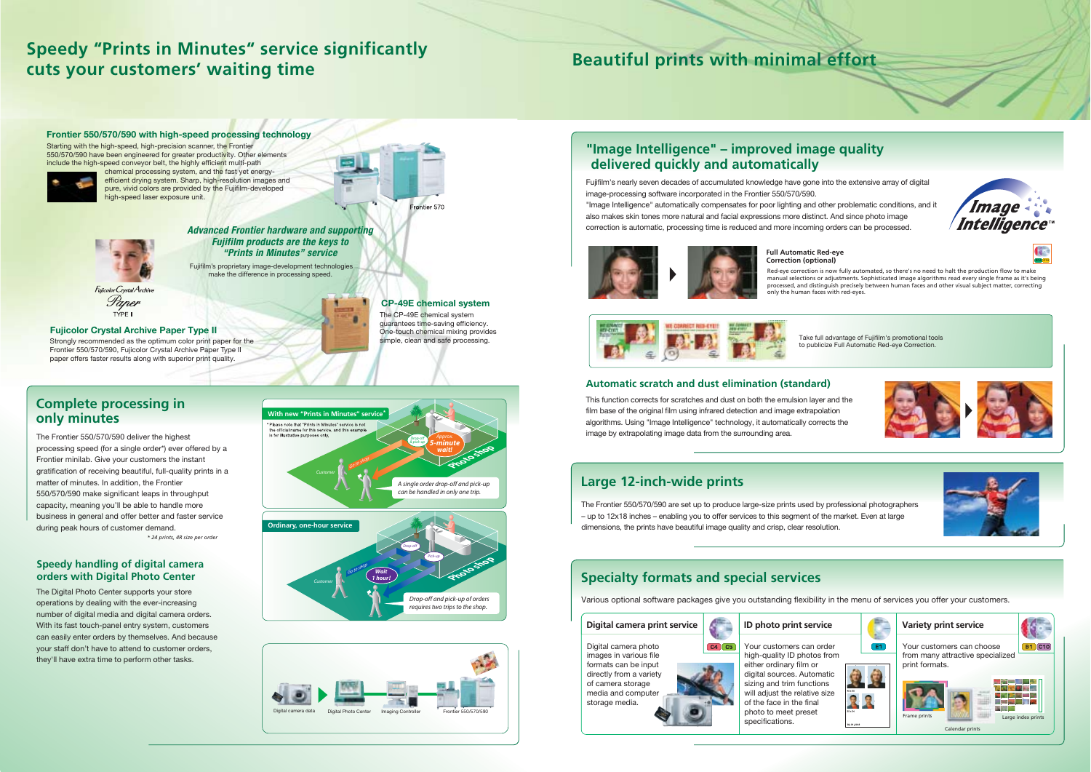**B14 C14**







The Frontier 550/570/590 deliver the highest processing speed (for a single order\*) ever offered by a Frontier minilab. Give your customers the instant gratification of receiving beautiful, full-quality prints in a matter of minutes. In addition, the Frontier 550/570/590 make significant leaps in throughput capacity, meaning you'll be able to handle more business in general and offer better and faster service during peak hours of customer demand. *\* 24 prints, 4R size per order*

The Digital Photo Center supports your store operations by dealing with the ever-increasing number of digital media and digital camera orders. With its fast touch-panel entry system, customers can easily enter orders by themselves. And because your staff don't have to attend to customer orders, they'll have extra time to perform other tasks.

**Speedy handling of digital camera orders with Digital Photo Center**

This function corrects for scratches and dust on both the emulsion layer and the film base of the original film using infrared detection and image extrapolation algorithms. Using "Image Intelligence" technology, it automatically corrects the image by extrapolating image data from the surrounding area.

# **Automatic scratch and dust elimination (standard)**



Fujifilm's nearly seven decades of accumulated knowledge have gone into the extensive array of digital image-processing software incorporated in the Frontier 550/570/590. "Image Intelligence" automatically compensates for poor lighting and other problematic conditions, and it also makes skin tones more natural and facial expressions more distinct. And since photo image correction is automatic, processing time is reduced and more incoming orders can be processed.



**CP-49E chemical system** The CP-49E chemical system guarantees time-saving efficiency. One-touch chemical mixing provides<br>simple, clean and safe processing.

rontier 570

# **"Image Intelligence" – improved image quality delivered quickly and automatically**

Strongly recommended as the optimum color print paper for the Frontier 550/570/590, Fujicolor Crystal Archive Paper Type II paper offers faster results along with superior print quality. **Fujicolor Crystal Archive Paper Type II**



The Frontier 550/570/590 are set up to produce large-size prints used by professional photographers – up to 12x18 inches – enabling you to offer services to this segment of the market. Even at large dimensions, the prints have beautiful image quality and crisp, clear resolution.

# **Large 12-inch-wide prints**

Various optional software packages give you outstanding flexibility in the menu of services you offer your customers.

# **Specialty formats and special services**

Red-eye correction is now fully automated, so there's no need to halt the production flow to make manual selections or adjustments. Sophisticated image algorithms read every single frame as it's being processed, and distinguish precisely between human faces and other visual subject matter, correcting

only the human faces with red-eyes. **Full Automatic Red-eye Correction (optional)**



Take full advantage of Fujifilm's promotional tools to publicize Full Automatic Red-eye Correction.





#### **Digital camera print service**

Digital camera photo images in various file formats can be input directly from a variety of camera storage media and computer storage media.



high-quality ID photos from either ordinary film or digital sources. Automatic sizing and trim functions will adjust the relative size of the face in the final photo to meet preset specifications.





#### **Frontier 550/570/590 with high-speed processing technology**

Starting with the high-speed, high-precision scanner, the Frontier 550/570/590 have been engineered for greater productivity. Other elements include the high-speed conveyor belt, the highly efficient multi-path



chemical processing system, and the fast yet energyefficient drying system. Sharp, high-resolution images and pure, vivid colors are provided by the Fujifilm-developed high-speed laser exposure unit.



Fujifilm's proprietary image-development technologies make the difference in processing speed.



# **Speedy "Prints in Minutes" service significantly cuts your customers' waiting time Beautiful prints with minimal effort**